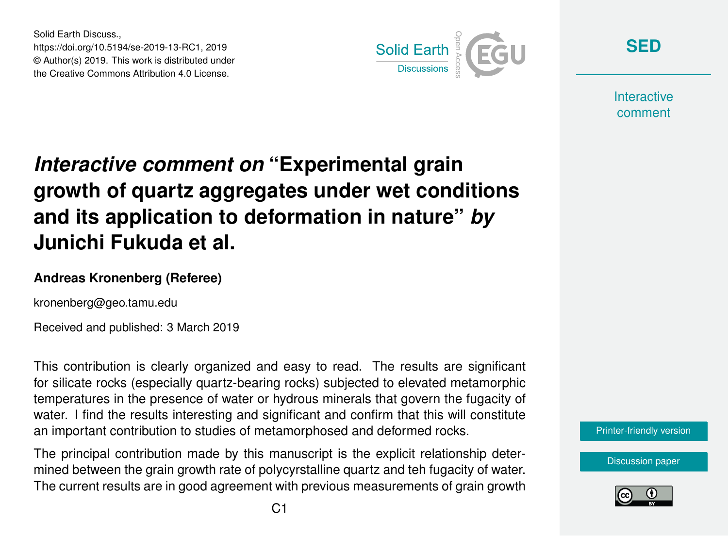Solid Earth Discuss., https://doi.org/10.5194/se-2019-13-RC1, 2019 © Author(s) 2019. This work is distributed under the Creative Commons Attribution 4.0 License.



**[SED](https://www.solid-earth-discuss.net/)**

**Interactive** comment

## *Interactive comment on* **"Experimental grain growth of quartz aggregates under wet conditions and its application to deformation in nature"** *by* **Junichi Fukuda et al.**

## **Andreas Kronenberg (Referee)**

kronenberg@geo.tamu.edu

Received and published: 3 March 2019

This contribution is clearly organized and easy to read. The results are significant for silicate rocks (especially quartz-bearing rocks) subjected to elevated metamorphic temperatures in the presence of water or hydrous minerals that govern the fugacity of water. I find the results interesting and significant and confirm that this will constitute an important contribution to studies of metamorphosed and deformed rocks.

The principal contribution made by this manuscript is the explicit relationship determined between the grain growth rate of polycyrstalline quartz and teh fugacity of water. The current results are in good agreement with previous measurements of grain growth [Printer-friendly version](https://www.solid-earth-discuss.net/se-2019-13/se-2019-13-RC1-print.pdf)

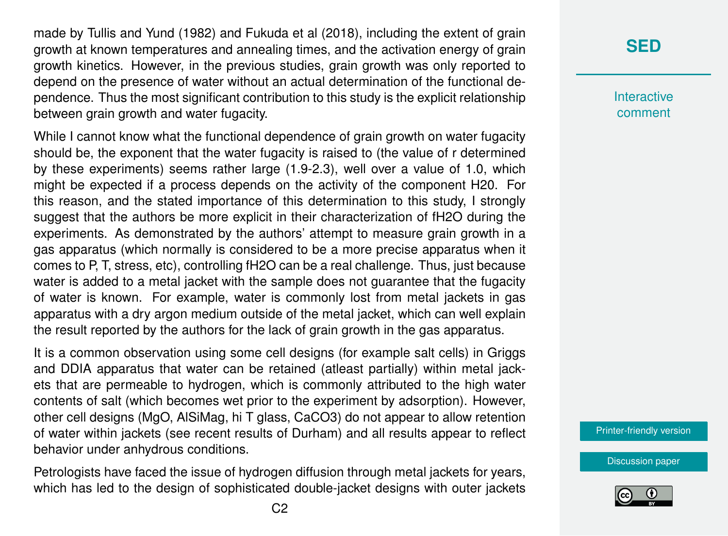made by Tullis and Yund (1982) and Fukuda et al (2018), including the extent of grain growth at known temperatures and annealing times, and the activation energy of grain growth kinetics. However, in the previous studies, grain growth was only reported to depend on the presence of water without an actual determination of the functional dependence. Thus the most significant contribution to this study is the explicit relationship between grain growth and water fugacity.

While I cannot know what the functional dependence of grain growth on water fugacity should be, the exponent that the water fugacity is raised to (the value of r determined by these experiments) seems rather large (1.9-2.3), well over a value of 1.0, which might be expected if a process depends on the activity of the component H20. For this reason, and the stated importance of this determination to this study, I strongly suggest that the authors be more explicit in their characterization of fH2O during the experiments. As demonstrated by the authors' attempt to measure grain growth in a gas apparatus (which normally is considered to be a more precise apparatus when it comes to P, T, stress, etc), controlling fH2O can be a real challenge. Thus, just because water is added to a metal jacket with the sample does not guarantee that the fugacity of water is known. For example, water is commonly lost from metal jackets in gas apparatus with a dry argon medium outside of the metal jacket, which can well explain the result reported by the authors for the lack of grain growth in the gas apparatus.

It is a common observation using some cell designs (for example salt cells) in Griggs and DDIA apparatus that water can be retained (atleast partially) within metal jackets that are permeable to hydrogen, which is commonly attributed to the high water contents of salt (which becomes wet prior to the experiment by adsorption). However, other cell designs (MgO, AlSiMag, hi T glass, CaCO3) do not appear to allow retention of water within jackets (see recent results of Durham) and all results appear to reflect behavior under anhydrous conditions.

Petrologists have faced the issue of hydrogen diffusion through metal jackets for years, which has led to the design of sophisticated double-jacket designs with outer jackets

## **[SED](https://www.solid-earth-discuss.net/)**

**Interactive** comment

[Printer-friendly version](https://www.solid-earth-discuss.net/se-2019-13/se-2019-13-RC1-print.pdf)

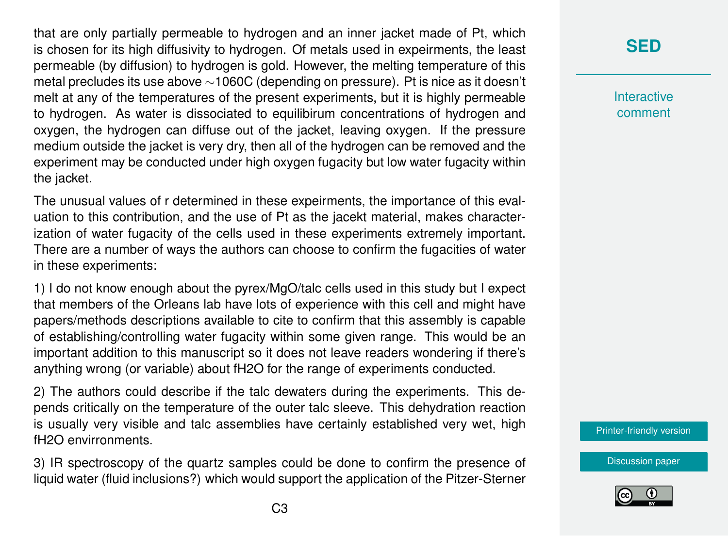that are only partially permeable to hydrogen and an inner jacket made of Pt, which is chosen for its high diffusivity to hydrogen. Of metals used in expeirments, the least permeable (by diffusion) to hydrogen is gold. However, the melting temperature of this metal precludes its use above ∼1060C (depending on pressure). Pt is nice as it doesn't melt at any of the temperatures of the present experiments, but it is highly permeable to hydrogen. As water is dissociated to equilibirum concentrations of hydrogen and oxygen, the hydrogen can diffuse out of the jacket, leaving oxygen. If the pressure medium outside the jacket is very dry, then all of the hydrogen can be removed and the experiment may be conducted under high oxygen fugacity but low water fugacity within the jacket.

The unusual values of r determined in these expeirments, the importance of this evaluation to this contribution, and the use of Pt as the jacekt material, makes characterization of water fugacity of the cells used in these experiments extremely important. There are a number of ways the authors can choose to confirm the fugacities of water in these experiments:

1) I do not know enough about the pyrex/MgO/talc cells used in this study but I expect that members of the Orleans lab have lots of experience with this cell and might have papers/methods descriptions available to cite to confirm that this assembly is capable of establishing/controlling water fugacity within some given range. This would be an important addition to this manuscript so it does not leave readers wondering if there's anything wrong (or variable) about fH2O for the range of experiments conducted.

2) The authors could describe if the talc dewaters during the experiments. This depends critically on the temperature of the outer talc sleeve. This dehydration reaction is usually very visible and talc assemblies have certainly established very wet, high fH2O envirronments.

3) IR spectroscopy of the quartz samples could be done to confirm the presence of liquid water (fluid inclusions?) which would support the application of the Pitzer-Sterner

## **[SED](https://www.solid-earth-discuss.net/)**

**Interactive** comment

[Printer-friendly version](https://www.solid-earth-discuss.net/se-2019-13/se-2019-13-RC1-print.pdf)

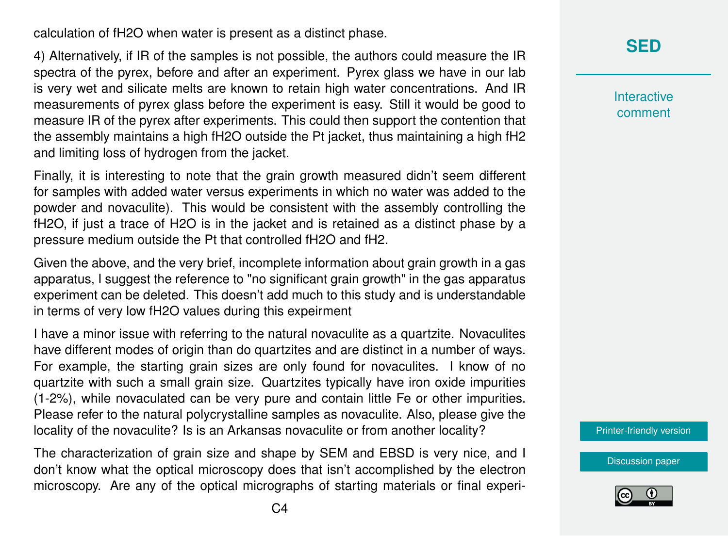calculation of fH2O when water is present as a distinct phase.

4) Alternatively, if IR of the samples is not possible, the authors could measure the IR spectra of the pyrex, before and after an experiment. Pyrex glass we have in our lab is very wet and silicate melts are known to retain high water concentrations. And IR measurements of pyrex glass before the experiment is easy. Still it would be good to measure IR of the pyrex after experiments. This could then support the contention that the assembly maintains a high fH2O outside the Pt jacket, thus maintaining a high fH2 and limiting loss of hydrogen from the jacket.

Finally, it is interesting to note that the grain growth measured didn't seem different for samples with added water versus experiments in which no water was added to the powder and novaculite). This would be consistent with the assembly controlling the fH2O, if just a trace of H2O is in the jacket and is retained as a distinct phase by a pressure medium outside the Pt that controlled fH2O and fH2.

Given the above, and the very brief, incomplete information about grain growth in a gas apparatus, I suggest the reference to "no significant grain growth" in the gas apparatus experiment can be deleted. This doesn't add much to this study and is understandable in terms of very low fH2O values during this expeirment

I have a minor issue with referring to the natural novaculite as a quartzite. Novaculites have different modes of origin than do quartzites and are distinct in a number of ways. For example, the starting grain sizes are only found for novaculites. I know of no quartzite with such a small grain size. Quartzites typically have iron oxide impurities (1-2%), while novaculated can be very pure and contain little Fe or other impurities. Please refer to the natural polycrystalline samples as novaculite. Also, please give the locality of the novaculite? Is is an Arkansas novaculite or from another locality?

The characterization of grain size and shape by SEM and EBSD is very nice, and I don't know what the optical microscopy does that isn't accomplished by the electron microscopy. Are any of the optical micrographs of starting materials or final experi**[SED](https://www.solid-earth-discuss.net/)**

**Interactive** comment

[Printer-friendly version](https://www.solid-earth-discuss.net/se-2019-13/se-2019-13-RC1-print.pdf)